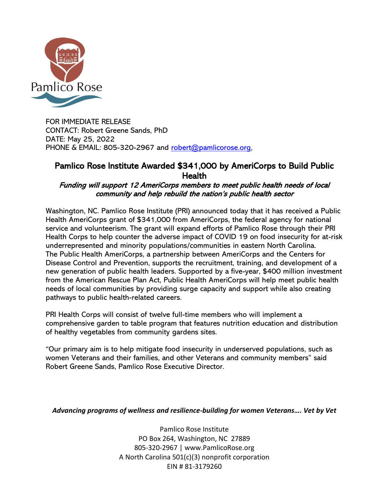

FOR IMMEDIATE RELEASE CONTACT: Robert Greene Sands, PhD DATE: May 25, 2022 PHONE & EMAIL: 805-320-2967 and [robert@pamlicorose.org,](mailto:robert@pamlicorose.org)

## Pamlico Rose Institute Awarded \$341,000 by AmeriCorps to Build Public **Health**

## Funding will support 12 AmeriCorps members to meet public health needs of local community and help rebuild the nation's public health sector

Washington, NC. Pamlico Rose Institute (PRI) announced today that it has received a Public Health AmeriCorps grant of \$341,000 from AmeriCorps, the federal agency for national service and volunteerism. The grant will expand efforts of Pamlico Rose through their PRI Health Corps to help counter the adverse impact of COVID 19 on food insecurity for at-risk underrepresented and minority populations/communities in eastern North Carolina. The Public Health AmeriCorps, a partnership between AmeriCorps and the Centers for Disease Control and Prevention, supports the recruitment, training, and development of a new generation of public health leaders. Supported by a five-year, \$400 million investment from the American Rescue Plan Act, Public Health AmeriCorps will help meet public health needs of local communities by providing surge capacity and support while also creating pathways to public health-related careers.

PRI Health Corps will consist of twelve full-time members who will implement a comprehensive garden to table program that features nutrition education and distribution of healthy vegetables from community gardens sites.

"Our primary aim is to help mitigate food insecurity in underserved populations, such as women Veterans and their families, and other Veterans and community members" said Robert Greene Sands, Pamlico Rose Executive Director.

## *Advancing programs of wellness and resilience-building for women Veterans…. Vet by Vet*

Pamlico Rose Institute PO Box 264, Washington, NC 27889 805-320-2967 | www.PamlicoRose.org A North Carolina 501(c)(3) nonprofit corporation EIN # 81-3179260